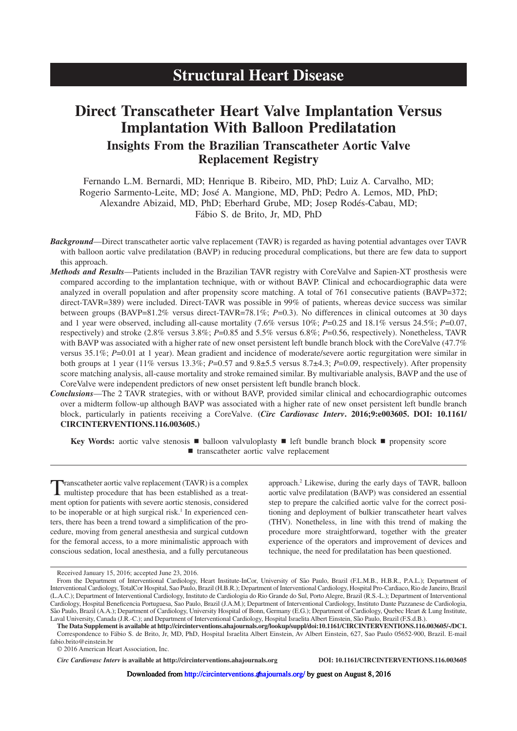# **Direct Transcatheter Heart Valve Implantation Versus Implantation With Balloon Predilatation Insights From the Brazilian Transcatheter Aortic Valve Replacement Registry**

Fernando L.M. Bernardi, MD; Henrique B. Ribeiro, MD, PhD; Luiz A. Carvalho, MD; Rogerio Sarmento-Leite, MD; José A. Mangione, MD, PhD; Pedro A. Lemos, MD, PhD; Alexandre Abizaid, MD, PhD; Eberhard Grube, MD; Josep Rodés-Cabau, MD; Fábio S. de Brito, Jr, MD, PhD

- *Background*—Direct transcatheter aortic valve replacement (TAVR) is regarded as having potential advantages over TAVR with balloon aortic valve predilatation (BAVP) in reducing procedural complications, but there are few data to support this approach.
- *Methods and Results*—Patients included in the Brazilian TAVR registry with CoreValve and Sapien-XT prosthesis were compared according to the implantation technique, with or without BAVP. Clinical and echocardiographic data were analyzed in overall population and after propensity score matching. A total of 761 consecutive patients (BAVP=372; direct-TAVR=389) were included. Direct-TAVR was possible in 99% of patients, whereas device success was similar between groups (BAVP=81.2% versus direct-TAVR=78.1%; *P*=0.3). No differences in clinical outcomes at 30 days and 1 year were observed, including all-cause mortality (7.6% versus 10%; *P*=0.25 and 18.1% versus 24.5%; *P*=0.07, respectively) and stroke (2.8% versus 3.8%; *P*=0.85 and 5.5% versus 6.8%; *P*=0.56, respectively). Nonetheless, TAVR with BAVP was associated with a higher rate of new onset persistent left bundle branch block with the CoreValve (47.7%) versus 35.1%; *P*=0.01 at 1 year). Mean gradient and incidence of moderate/severe aortic regurgitation were similar in both groups at 1 year (11% versus 13.3%; *P*=0.57 and 9.8±5.5 versus 8.7±4.3; *P*=0.09, respectively). After propensity score matching analysis, all-cause mortality and stroke remained similar. By multivariable analysis, BAVP and the use of CoreValve were independent predictors of new onset persistent left bundle branch block.
- *Conclusions*—The 2 TAVR strategies, with or without BAVP, provided similar clinical and echocardiographic outcomes over a midterm follow-up although BAVP was associated with a higher rate of new onset persistent left bundle branch block, particularly in patients receiving a CoreValve. **(***Circ Cardiovasc Interv***. 2016;9:e003605. DOI: 10.1161/ CIRCINTERVENTIONS.116.003605.)**

**Key Words:** aortic valve stenosis ■ balloon valvuloplasty ■ left bundle branch block ■ propensity score ■ transcatheter aortic valve replacement

Transcatheter aortic valve replacement (TAVR) is a complex multistep procedure that has been established as a treatment option for patients with severe aortic stenosis, considered to be inoperable or at high surgical risk.<sup>1</sup> In experienced centers, there has been a trend toward a simplification of the procedure, moving from general anesthesia and surgical cutdown for the femoral access, to a more minimalistic approach with conscious sedation, local anesthesia, and a fully percutaneous

approach.2 Likewise, during the early days of TAVR, balloon aortic valve predilatation (BAVP) was considered an essential step to prepare the calcified aortic valve for the correct positioning and deployment of bulkier transcatheter heart valves (THV). Nonetheless, in line with this trend of making the procedure more straightforward, together with the greater experience of the operators and improvement of devices and technique, the need for predilatation has been questioned.

© 2016 American Heart Association, Inc.

*Circ Cardiovasc Interv* **is available at http://circinterventions.ahajournals.org DOI: 10.1161/CIRCINTERVENTIONS.116.003605**

Received January 15, 2016; accepted June 23, 2016.

From the Department of Interventional Cardiology, Heart Institute-InCor, University of São Paulo, Brazil (F.L.M.B., H.B.R., P.A.L.); Department of Interventional Cardiology, TotalCor Hospital, Sao Paulo, Brazil (H.B.R.); Department of Interventional Cardiology, Hospital Pro-Cardiaco, Rio de Janeiro, Brazil (L.A.C.); Department of Interventional Cardiology, Instituto de Cardiologia do Rio Grande do Sul, Porto Alegre, Brazil (R.S.-L.); Department of Interventional Cardiology, Hospital Beneficencia Portuguesa, Sao Paulo, Brazil (J.A.M.); Department of Interventional Cardiology, Instituto Dante Pazzanese de Cardiologia, São Paulo, Brazil (A.A.); Department of Cardiology, University Hospital of Bonn, Germany (E.G.); Department of Cardiology, Quebec Heart & Lung Institute, Laval University, Canada (J.R.-C.); and Department of Interventional Cardiology, Hospital Israelita Albert Einstein, São Paulo, Brazil (F.S.d.B.).

**The Data Supplement is available at http://circinterventions.ahajournals.org/lookup/suppl/doi:10.1161/CIRCINTERVENTIONS.116.003605/-/DC1.** Correspondence to Fábio S. de Brito, Jr, MD, PhD, Hospital Israelita Albert Einstein, Av Albert Einstein, 627, Sao Paulo 05652-900, Brazil. E-mail fabio.brito@einstein.br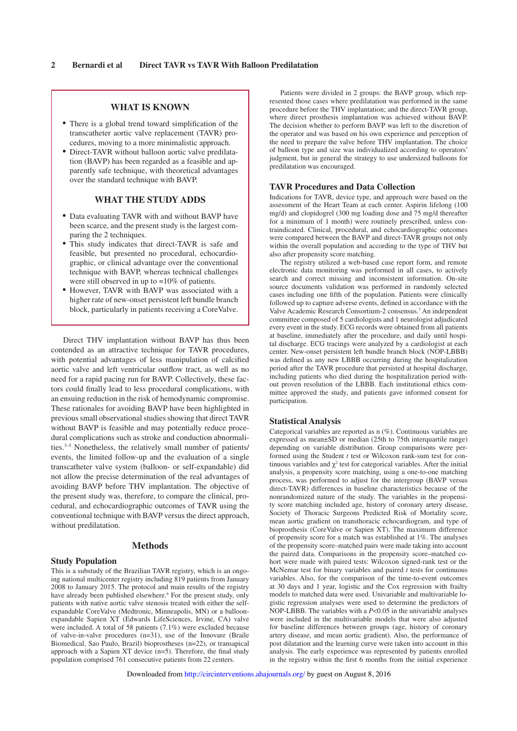## **WHAT IS KNOWN**

- There is a global trend toward simplification of the transcatheter aortic valve replacement (TAVR) procedures, moving to a more minimalistic approach.
- Direct-TAVR without balloon aortic valve predilatation (BAVP) has been regarded as a feasible and apparently safe technique, with theoretical advantages over the standard technique with BAVP.

## **WHAT THE STUDY ADDS**

- Data evaluating TAVR with and without BAVP have been scarce, and the present study is the largest comparing the 2 techniques.
- This study indicates that direct-TAVR is safe and feasible, but presented no procedural, echocardiographic, or clinical advantage over the conventional technique with BAVP, whereas technical challenges were still observed in up to ≈10% of patients.
- However, TAVR with BAVP was associated with a higher rate of new-onset persistent left bundle branch block, particularly in patients receiving a CoreValve.

Direct THV implantation without BAVP has thus been contended as an attractive technique for TAVR procedures, with potential advantages of less manipulation of calcified aortic valve and left ventricular outflow tract, as well as no need for a rapid pacing run for BAVP. Collectively, these factors could finally lead to less procedural complications, with an ensuing reduction in the risk of hemodynamic compromise. These rationales for avoiding BAVP have been highlighted in previous small observational studies showing that direct TAVR without BAVP is feasible and may potentially reduce procedural complications such as stroke and conduction abnormalities.3–5 Nonetheless, the relatively small number of patients/ events, the limited follow-up and the evaluation of a single transcatheter valve system (balloon- or self-expandable) did not allow the precise determination of the real advantages of avoiding BAVP before THV implantation. The objective of the present study was, therefore, to compare the clinical, procedural, and echocardiographic outcomes of TAVR using the conventional technique with BAVP versus the direct approach, without predilatation.

#### **Methods**

#### **Study Population**

This is a substudy of the Brazilian TAVR registry, which is an ongoing national multicenter registry including 819 patients from January 2008 to January 2015. The protocol and main results of the registry have already been published elsewhere.<sup>6</sup> For the present study, only patients with native aortic valve stenosis treated with either the selfexpandable CoreValve (Medtronic, Minneapolis, MN) or a balloonexpandable Sapien XT (Edwards LifeSciences, Irvine, CA) valve were included. A total of 58 patients (7.1%) were excluded because of valve-in-valve procedures (n=31), use of the Innovare (Braile Biomedical, Sao Paulo, Brazil) bioprostheses (n=22), or transapical approach with a Sapien XT device (n=5). Therefore, the final study population comprised 761 consecutive patients from 22 centers.

Patients were divided in 2 groups: the BAVP group, which represented those cases where predilatation was performed in the same procedure before the THV implantation; and the direct-TAVR group, where direct prosthesis implantation was achieved without BAVP. The decision whether to perform BAVP was left to the discretion of the operator and was based on his own experience and perception of the need to prepare the valve before THV implantation. The choice of balloon type and size was individualized according to operators' judgment, but in general the strategy to use undersized balloons for predilatation was encouraged.

## **TAVR Procedures and Data Collection**

Indications for TAVR, device type, and approach were based on the assessment of the Heart Team at each center. Aspirin lifelong (100 mg/d) and clopidogrel (300 mg loading dose and 75 mg/d thereafter for a minimum of 1 month) were routinely prescribed, unless contraindicated. Clinical, procedural, and echocardiographic outcomes were compared between the BAVP and direct-TAVR groups not only within the overall population and according to the type of THV but also after propensity score matching.

The registry utilized a web-based case report form, and remote electronic data monitoring was performed in all cases, to actively search and correct missing and inconsistent information. On-site source documents validation was performed in randomly selected cases including one fifth of the population. Patients were clinically followed up to capture adverse events, defined in accordance with the Valve Academic Research Consortium-2 consensus.7 An independent committee composed of 5 cardiologists and 1 neurologist adjudicated every event in the study. ECG records were obtained from all patients at baseline, immediately after the procedure, and daily until hospital discharge. ECG tracings were analyzed by a cardiologist at each center. New-onset persistent left bundle branch block (NOP-LBBB) was defined as any new LBBB occurring during the hospitalization period after the TAVR procedure that persisted at hospital discharge, including patients who died during the hospitalization period without proven resolution of the LBBB. Each institutional ethics committee approved the study, and patients gave informed consent for participation.

#### **Statistical Analysis**

Categorical variables are reported as n (%). Continuous variables are expressed as mean±SD or median (25th to 75th interquartile range) depending on variable distribution. Group comparisons were performed using the Student *t* test or Wilcoxon rank-sum test for continuous variables and  $\chi^2$  test for categorical variables. After the initial analysis, a propensity score matching, using a one-to-one matching process, was performed to adjust for the intergroup (BAVP versus direct-TAVR) differences in baseline characteristics because of the nonrandomized nature of the study. The variables in the propensity score matching included age, history of coronary artery disease, Society of Thoracic Surgeons Predicted Risk of Mortality score, mean aortic gradient on transthoracic echocardiogram, and type of bioprosthesis (CoreValve or Sapien XT). The maximum difference of propensity score for a match was established at 1%. The analyses of the propensity score–matched pairs were made taking into account the paired data. Comparisons in the propensity score–matched cohort were made with paired tests: Wilcoxon signed-rank test or the McNemar test for binary variables and paired *t* tests for continuous variables. Also, for the comparison of the time-to-event outcomes at 30 days and 1 year, logistic and the Cox regression with frailty models to matched data were used. Univariable and multivariable logistic regression analyses were used to determine the predictors of NOP-LBBB. The variables with a *P*<0.05 in the univariable analyses were included in the multivariable models that were also adjusted for baseline differences between groups (age, history of coronary artery disease, and mean aortic gradient). Also, the performance of post dilatation and the learning curve were taken into account in this analysis. The early experience was represented by patients enrolled in the registry within the first 6 months from the initial experience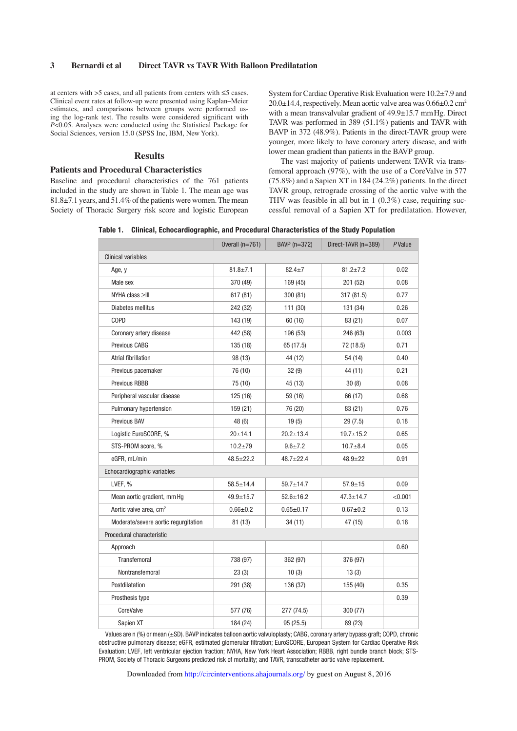at centers with >5 cases, and all patients from centers with ≤5 cases. Clinical event rates at follow-up were presented using Kaplan–Meier estimates, and comparisons between groups were performed using the log-rank test. The results were considered significant with *P*<0.05. Analyses were conducted using the Statistical Package for Social Sciences, version 15.0 (SPSS Inc, IBM, New York).

#### **Results**

#### **Patients and Procedural Characteristics**

Baseline and procedural characteristics of the 761 patients included in the study are shown in Table 1. The mean age was 81.8±7.1 years, and 51.4% of the patients were women. The mean Society of Thoracic Surgery risk score and logistic European System for Cardiac Operative Risk Evaluation were 10.2±7.9 and  $20.0\pm14.4$ , respectively. Mean aortic valve area was  $0.66\pm0.2$  cm<sup>2</sup> with a mean transvalvular gradient of 49.9±15.7 mm Hg. Direct TAVR was performed in 389 (51.1%) patients and TAVR with BAVP in 372 (48.9%). Patients in the direct-TAVR group were younger, more likely to have coronary artery disease, and with lower mean gradient than patients in the BAVP group.

The vast majority of patients underwent TAVR via transfemoral approach (97%), with the use of a CoreValve in 577 (75.8%) and a Sapien XT in 184 (24.2%) patients. In the direct TAVR group, retrograde crossing of the aortic valve with the THV was feasible in all but in 1 (0.3%) case, requiring successful removal of a Sapien XT for predilatation. However,

**Table 1. Clinical, Echocardiographic, and Procedural Characteristics of the Study Population**

|                                      | Overall (n=761) | BAVP (n=372)    | Direct-TAVR (n=389) | PValue  |  |  |
|--------------------------------------|-----------------|-----------------|---------------------|---------|--|--|
| <b>Clinical variables</b>            |                 |                 |                     |         |  |  |
| Age, y                               | $81.8 \pm 7.1$  | $82.4 \pm 7$    | $81.2 \pm 7.2$      | 0.02    |  |  |
| Male sex                             | 370 (49)        | 169 (45)        | 201 (52)            | 0.08    |  |  |
| $NYHA$ class $\geq$ III              | 617 (81)        | 300(81)         | 317 (81.5)          | 0.77    |  |  |
| Diabetes mellitus                    | 242 (32)        | 111 (30)        | 131 (34)            | 0.26    |  |  |
| <b>COPD</b>                          | 143 (19)        | 60 (16)         | 83 (21)             | 0.07    |  |  |
| Coronary artery disease              | 442 (58)        | 196 (53)        | 246 (63)            | 0.003   |  |  |
| Previous CABG                        | 135 (18)        | 65 (17.5)       | 72 (18.5)           | 0.71    |  |  |
| Atrial fibrillation                  | 98 (13)         | 44 (12)         | 54 (14)             | 0.40    |  |  |
| Previous pacemaker                   | 76 (10)         | 32(9)           | 44 (11)             | 0.21    |  |  |
| Previous RBBB                        | 75 (10)         | 45 (13)         | 30(8)               | 0.08    |  |  |
| Peripheral vascular disease          | 125 (16)        | 59 (16)         | 66 (17)             | 0.68    |  |  |
| Pulmonary hypertension               | 159 (21)        | 76 (20)         | 83 (21)             | 0.76    |  |  |
| <b>Previous BAV</b>                  | 48 (6)          | 19(5)           | 29(7.5)             | 0.18    |  |  |
| Logistic EuroSCORE, %                | $20 + 14.1$     | $20.2 \pm 13.4$ | $19.7 + 15.2$       | 0.65    |  |  |
| STS-PROM score, %                    | $10.2 + 79$     | $9.6 + 7.2$     | $10.7 + 8.4$        | 0.05    |  |  |
| eGFR, mL/min                         | $48.5 \pm 22.2$ | $48.7 \pm 22.4$ | $48.9 + 22$         | 0.91    |  |  |
| Echocardiographic variables          |                 |                 |                     |         |  |  |
| LVEF, %                              | $58.5 \pm 14.4$ | $59.7 \pm 14.7$ | $57.9 + 15$         | 0.09    |  |  |
| Mean aortic gradient, mm Hg          | $49.9 \pm 15.7$ | $52.6 \pm 16.2$ | $47.3 \pm 14.7$     | < 0.001 |  |  |
| Aortic valve area, cm <sup>2</sup>   | $0.66 \pm 0.2$  | $0.65 \pm 0.17$ | $0.67 + 0.2$        | 0.13    |  |  |
| Moderate/severe aortic requrgitation | 81 (13)         | 34(11)          | 47 (15)             | 0.18    |  |  |
| Procedural characteristic            |                 |                 |                     |         |  |  |
| Approach                             |                 |                 |                     | 0.60    |  |  |
| Transfemoral                         | 738 (97)        | 362 (97)        | 376 (97)            |         |  |  |
| Nontransfemoral                      | 23(3)           | 10(3)           | 13(3)               |         |  |  |
| Postdilatation                       | 291 (38)        | 136 (37)        | 155 (40)            | 0.35    |  |  |
| Prosthesis type                      |                 |                 |                     | 0.39    |  |  |
| CoreValve                            | 577 (76)        | 277 (74.5)      | 300 (77)            |         |  |  |
| Sapien XT                            | 184 (24)        | 95 (25.5)       | 89 (23)             |         |  |  |

Values are n (%) or mean (±SD). BAVP indicates balloon aortic valvuloplasty; CABG, coronary artery bypass graft; COPD, chronic obstructive pulmonary disease; eGFR, estimated glomerular filtration; EuroSCORE, European System for Cardiac Operative Risk Evaluation; LVEF, left ventricular ejection fraction; NYHA, New York Heart Association; RBBB, right bundle branch block; STS-PROM, Society of Thoracic Surgeons predicted risk of mortality; and TAVR, transcatheter aortic valve replacement.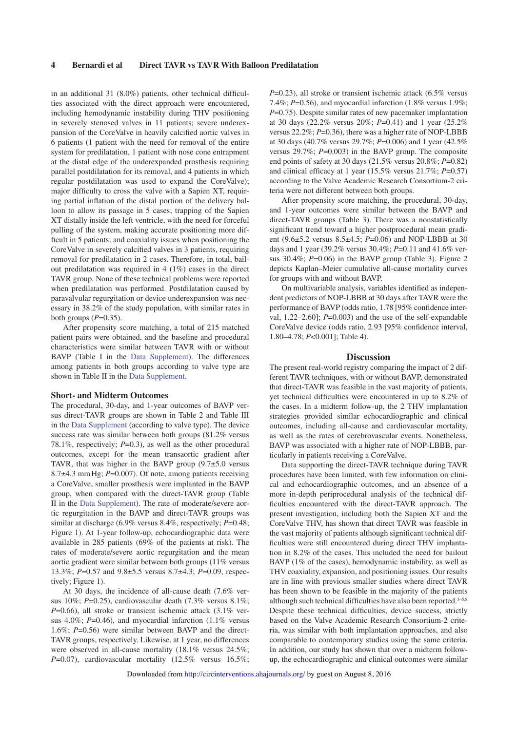in an additional 31 (8.0%) patients, other technical difficulties associated with the direct approach were encountered, including hemodynamic instability during THV positioning in severely stenosed valves in 11 patients; severe underexpansion of the CoreValve in heavily calcified aortic valves in 6 patients (1 patient with the need for removal of the entire system for predilatation, 1 patient with nose cone entrapment at the distal edge of the underexpanded prosthesis requiring parallel postdilatation for its removal, and 4 patients in which regular postdilatation was used to expand the CoreValve); major difficulty to cross the valve with a Sapien XT, requiring partial inflation of the distal portion of the delivery balloon to allow its passage in 5 cases; trapping of the Sapien XT distally inside the left ventricle, with the need for forceful pulling of the system, making accurate positioning more difficult in 5 patients; and coaxiality issues when positioning the CoreValve in severely calcified valves in 3 patients, requiring removal for predilatation in 2 cases. Therefore, in total, bailout predilatation was required in 4 (1%) cases in the direct TAVR group. None of these technical problems were reported when predilatation was performed. Postdilatation caused by paravalvular regurgitation or device underexpansion was necessary in 38.2% of the study population, with similar rates in both groups  $(P=0.35)$ .

After propensity score matching, a total of 215 matched patient pairs were obtained, and the baseline and procedural characteristics were similar between TAVR with or without BAVP (Table I in the Data Supplement). The differences among patients in both groups according to valve type are shown in Table II in the Data Supplement.

## **Short- and Midterm Outcomes**

The procedural, 30-day, and 1-year outcomes of BAVP versus direct-TAVR groups are shown in Table 2 and Table III in the Data Supplement (according to valve type). The device success rate was similar between both groups (81.2% versus 78.1%, respectively; *P*=0.3), as well as the other procedural outcomes, except for the mean transaortic gradient after TAVR, that was higher in the BAVP group  $(9.7\pm5.0$  versus 8.7±4.3 mmHg; *P*=0.007). Of note, among patients receiving a CoreValve, smaller prosthesis were implanted in the BAVP group, when compared with the direct-TAVR group (Table II in the Data Supplement). The rate of moderate/severe aortic regurgitation in the BAVP and direct-TAVR groups was similar at discharge (6.9% versus 8.4%, respectively; *P*=0.48; Figure 1). At 1-year follow-up, echocardiographic data were available in 285 patients (69% of the patients at risk). The rates of moderate/severe aortic regurgitation and the mean aortic gradient were similar between both groups (11% versus 13.3%; *P*=0.57 and 9.8±5.5 versus 8.7±4.3; *P*=0.09, respectively; Figure 1).

At 30 days, the incidence of all-cause death (7.6% versus 10%; *P*=0.25), cardiovascular death (7.3% versus 8.1%; *P*=0.66), all stroke or transient ischemic attack (3.1% versus 4.0%; *P*=0.46), and myocardial infarction (1.1% versus 1.6%; *P*=0.56) were similar between BAVP and the direct-TAVR groups, respectively. Likewise, at 1 year, no differences were observed in all-cause mortality (18.1% versus 24.5%; *P*=0.07), cardiovascular mortality (12.5% versus 16.5%; *P*=0.23), all stroke or transient ischemic attack (6.5% versus 7.4%; *P*=0.56), and myocardial infarction (1.8% versus 1.9%; *P*=0.75). Despite similar rates of new pacemaker implantation at 30 days (22.2% versus 20%; *P*=0.41) and 1 year (25.2% versus 22.2%; *P*=0.36), there was a higher rate of NOP-LBBB at 30 days (40.7% versus 29.7%; *P*=0.006) and 1 year (42.5% versus 29.7%; *P*=0.003) in the BAVP group. The composite end points of safety at 30 days (21.5% versus 20.8%; *P*=0.82) and clinical efficacy at 1 year (15.5% versus 21.7%; *P*=0.57) according to the Valve Academic Research Consortium-2 criteria were not different between both groups.

After propensity score matching, the procedural, 30-day, and 1-year outcomes were similar between the BAVP and direct-TAVR groups (Table 3). There was a nonstatistically significant trend toward a higher postprocedural mean gradient (9.6±5.2 versus 8.5±4.5; *P*=0.06) and NOP-LBBB at 30 days and 1 year (39.2% versus 30.4%; *P*=0.11 and 41.6% versus 30.4%; *P*=0.06) in the BAVP group (Table 3). Figure 2 depicts Kaplan–Meier cumulative all-cause mortality curves for groups with and without BAVP.

On multivariable analysis, variables identified as independent predictors of NOP-LBBB at 30 days after TAVR were the performance of BAVP (odds ratio, 1.78 [95% confidence interval, 1.22–2.60]; *P*=0.003) and the use of the self-expandable CoreValve device (odds ratio, 2.93 [95% confidence interval, 1.80–4.78; *P*<0.001]; Table 4).

## **Discussion**

The present real-world registry comparing the impact of 2 different TAVR techniques, with or without BAVP, demonstrated that direct-TAVR was feasible in the vast majority of patients, yet technical difficulties were encountered in up to 8.2% of the cases. In a midterm follow-up, the 2 THV implantation strategies provided similar echocardiographic and clinical outcomes, including all-cause and cardiovascular mortality, as well as the rates of cerebrovascular events. Nonetheless, BAVP was associated with a higher rate of NOP-LBBB, particularly in patients receiving a CoreValve.

Data supporting the direct-TAVR technique during TAVR procedures have been limited, with few information on clinical and echocardiographic outcomes, and an absence of a more in-depth periprocedural analysis of the technical difficulties encountered with the direct-TAVR approach. The present investigation, including both the Sapien XT and the CoreValve THV, has shown that direct TAVR was feasible in the vast majority of patients although significant technical difficulties were still encountered during direct THV implantation in 8.2% of the cases. This included the need for bailout BAVP (1% of the cases), hemodynamic instability, as well as THV coaxiality, expansion, and positioning issues. Our results are in line with previous smaller studies where direct TAVR has been shown to be feasible in the majority of the patients although such technical difficulties have also been reported.<sup>3-5,8</sup> Despite these technical difficulties, device success, strictly based on the Valve Academic Research Consortium-2 criteria, was similar with both implantation approaches, and also comparable to contemporary studies using the same criteria. In addition, our study has shown that over a midterm followup, the echocardiographic and clinical outcomes were similar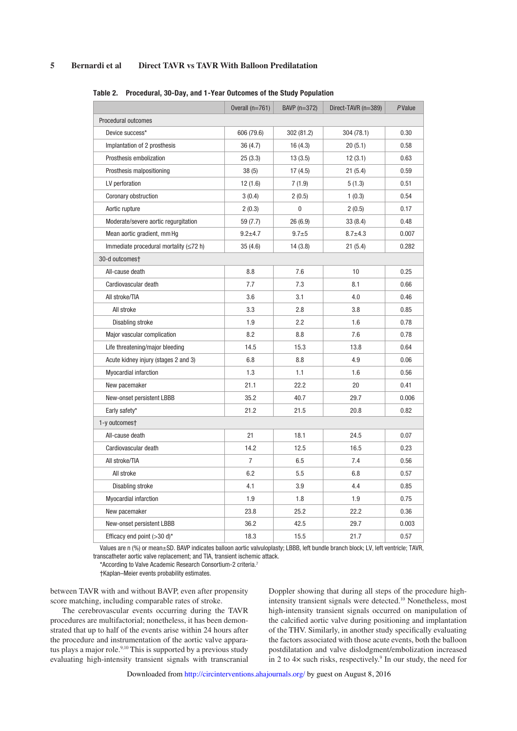|                                              | Overall $(n=761)$ | BAVP (n=372) | Direct-TAVR (n=389) | <b>P</b> Value |  |  |
|----------------------------------------------|-------------------|--------------|---------------------|----------------|--|--|
| Procedural outcomes                          |                   |              |                     |                |  |  |
| Device success*                              | 606 (79.6)        | 302 (81.2)   | 304 (78.1)          | 0.30           |  |  |
| Implantation of 2 prosthesis                 | 36(4.7)           | 16(4.3)      | 20(5.1)             | 0.58           |  |  |
| Prosthesis embolization                      | 25(3.3)           | 13(3.5)      | 12(3.1)             | 0.63           |  |  |
| Prosthesis malpositioning                    | 38(5)             | 17 (4.5)     | 21(5.4)             | 0.59           |  |  |
| LV perforation                               | 12(1.6)           | 7(1.9)       | 5(1.3)              | 0.51           |  |  |
| Coronary obstruction                         | 3(0.4)            | 2(0.5)       | 1(0.3)              | 0.54           |  |  |
| Aortic rupture                               | 2(0.3)            | 0            | 2(0.5)              | 0.17           |  |  |
| Moderate/severe aortic requrgitation         | 59 (7.7)          | 26(6.9)      | 33(8.4)             | 0.48           |  |  |
| Mean aortic gradient, mm Hg                  | $9.2 + 4.7$       | $9.7 + 5$    | $8.7 + 4.3$         | 0.007          |  |  |
| Immediate procedural mortality $(\leq 72 h)$ | 35(4.6)           | 14 (3.8)     | 21(5.4)             | 0.282          |  |  |
| 30-d outcomest                               |                   |              |                     |                |  |  |
| All-cause death                              | 8.8               | 7.6          | 10                  | 0.25           |  |  |
| Cardiovascular death                         | 7.7               | 7.3          | 8.1                 | 0.66           |  |  |
| All stroke/TIA                               | 3.6               | 3.1          | 4.0                 | 0.46           |  |  |
| All stroke                                   | 3.3               | 2.8          | 3.8                 | 0.85           |  |  |
| Disabling stroke                             | 1.9               | 2.2          | 1.6                 | 0.78           |  |  |
| Major vascular complication                  | 8.2               | 8.8          | 7.6                 | 0.78           |  |  |
| Life threatening/major bleeding              | 14.5              | 15.3         | 13.8                | 0.64           |  |  |
| Acute kidney injury (stages 2 and 3)         | 6.8               | 8.8          | 4.9                 | 0.06           |  |  |
| Myocardial infarction                        | 1.3               | 1.1          | 1.6                 | 0.56           |  |  |
| New pacemaker                                | 21.1              | 22.2         | 20                  | 0.41           |  |  |
| New-onset persistent LBBB                    | 35.2              | 40.7         | 29.7                | 0.006          |  |  |
| Early safety*                                | 21.2              | 21.5         | 20.8                | 0.82           |  |  |
| 1-y outcomest                                |                   |              |                     |                |  |  |
| All-cause death                              | 21                | 18.1         | 24.5                | 0.07           |  |  |
| Cardiovascular death                         | 14.2              | 12.5         | 16.5                | 0.23           |  |  |
| All stroke/TIA                               | $\overline{7}$    | 6.5          | 7.4                 | 0.56           |  |  |
| All stroke                                   | 6.2               | 5.5          | 6.8                 | 0.57           |  |  |
| Disabling stroke                             | 4.1               | 3.9          | 4.4                 | 0.85           |  |  |
| Myocardial infarction                        | 1.9               | 1.8          | 1.9                 | 0.75           |  |  |
| New pacemaker                                | 23.8              | 25.2         | 22.2                | 0.36           |  |  |
| New-onset persistent LBBB                    | 36.2              | 42.5         | 29.7                | 0.003          |  |  |
| Efficacy end point $(>30 d)^*$               | 18.3              | 15.5         | 21.7                | 0.57           |  |  |

#### **Table 2. Procedural, 30-Day, and 1-Year Outcomes of the Study Population**

Values are n (%) or mean±SD. BAVP indicates balloon aortic valvuloplasty; LBBB, left bundle branch block; LV, left ventricle; TAVR, transcatheter aortic valve replacement; and TIA, transient ischemic attack.

\*According to Valve Academic Research Consortium-2 criteria.7

between TAVR with and without BAVP, even after propensity score matching, including comparable rates of stroke.

The cerebrovascular events occurring during the TAVR procedures are multifactorial; nonetheless, it has been demonstrated that up to half of the events arise within 24 hours after the procedure and instrumentation of the aortic valve apparatus plays a major role.<sup>9,10</sup> This is supported by a previous study evaluating high-intensity transient signals with transcranial

Doppler showing that during all steps of the procedure highintensity transient signals were detected.10 Nonetheless, most high-intensity transient signals occurred on manipulation of the calcified aortic valve during positioning and implantation of the THV. Similarly, in another study specifically evaluating the factors associated with those acute events, both the balloon postdilatation and valve dislodgment/embolization increased in 2 to  $4x$  such risks, respectively.<sup>9</sup> In our study, the need for

<sup>†</sup>Kaplan–Meier events probability estimates.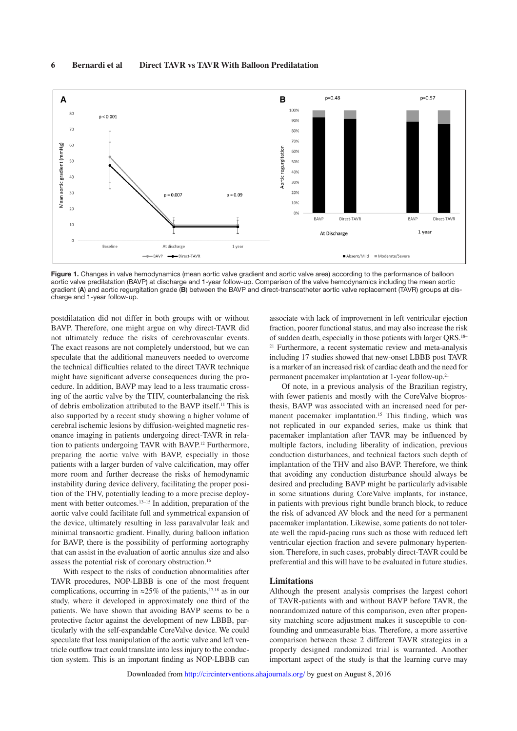

**Figure 1.** Changes in valve hemodynamics (mean aortic valve gradient and aortic valve area) according to the performance of balloon aortic valve predilatation (BAVP) at discharge and 1-year follow-up. Comparison of the valve hemodynamics including the mean aortic gradient (**A**) and aortic regurgitation grade (**B**) between the BAVP and direct-transcatheter aortic valve replacement (TAVR) groups at discharge and 1-year follow-up.

postdilatation did not differ in both groups with or without BAVP. Therefore, one might argue on why direct-TAVR did not ultimately reduce the risks of cerebrovascular events. The exact reasons are not completely understood, but we can speculate that the additional maneuvers needed to overcome the technical difficulties related to the direct TAVR technique might have significant adverse consequences during the procedure. In addition, BAVP may lead to a less traumatic crossing of the aortic valve by the THV, counterbalancing the risk of debris embolization attributed to the BAVP itself.11 This is also supported by a recent study showing a higher volume of cerebral ischemic lesions by diffusion-weighted magnetic resonance imaging in patients undergoing direct-TAVR in relation to patients undergoing TAVR with BAVP.<sup>12</sup> Furthermore, preparing the aortic valve with BAVP, especially in those patients with a larger burden of valve calcification, may offer more room and further decrease the risks of hemodynamic instability during device delivery, facilitating the proper position of the THV, potentially leading to a more precise deployment with better outcomes.13–15 In addition, preparation of the aortic valve could facilitate full and symmetrical expansion of the device, ultimately resulting in less paravalvular leak and minimal transaortic gradient. Finally, during balloon inflation for BAVP, there is the possibility of performing aortography that can assist in the evaluation of aortic annulus size and also assess the potential risk of coronary obstruction.16

With respect to the risks of conduction abnormalities after TAVR procedures, NOP-LBBB is one of the most frequent complications, occurring in ≈25% of the patients,<sup>17,18</sup> as in our study, where it developed in approximately one third of the patients. We have shown that avoiding BAVP seems to be a protective factor against the development of new LBBB, particularly with the self-expandable CoreValve device. We could speculate that less manipulation of the aortic valve and left ventricle outflow tract could translate into less injury to the conduction system. This is an important finding as NOP-LBBB can associate with lack of improvement in left ventricular ejection fraction, poorer functional status, and may also increase the risk of sudden death, especially in those patients with larger QRS.18–  $21$  Furthermore, a recent systematic review and meta-analysis including 17 studies showed that new-onset LBBB post TAVR is a marker of an increased risk of cardiac death and the need for permanent pacemaker implantation at 1-year follow-up.21

Of note, in a previous analysis of the Brazilian registry, with fewer patients and mostly with the CoreValve bioprosthesis, BAVP was associated with an increased need for permanent pacemaker implantation.15 This finding, which was not replicated in our expanded series, make us think that pacemaker implantation after TAVR may be influenced by multiple factors, including liberality of indication, previous conduction disturbances, and technical factors such depth of implantation of the THV and also BAVP. Therefore, we think that avoiding any conduction disturbance should always be desired and precluding BAVP might be particularly advisable in some situations during CoreValve implants, for instance, in patients with previous right bundle branch block, to reduce the risk of advanced AV block and the need for a permanent pacemaker implantation. Likewise, some patients do not tolerate well the rapid-pacing runs such as those with reduced left ventricular ejection fraction and severe pulmonary hypertension. Therefore, in such cases, probably direct-TAVR could be preferential and this will have to be evaluated in future studies.

#### **Limitations**

Although the present analysis comprises the largest cohort of TAVR-patients with and without BAVP before TAVR, the nonrandomized nature of this comparison, even after propensity matching score adjustment makes it susceptible to confounding and unmeasurable bias. Therefore, a more assertive comparison between these 2 different TAVR strategies in a properly designed randomized trial is warranted. Another important aspect of the study is that the learning curve may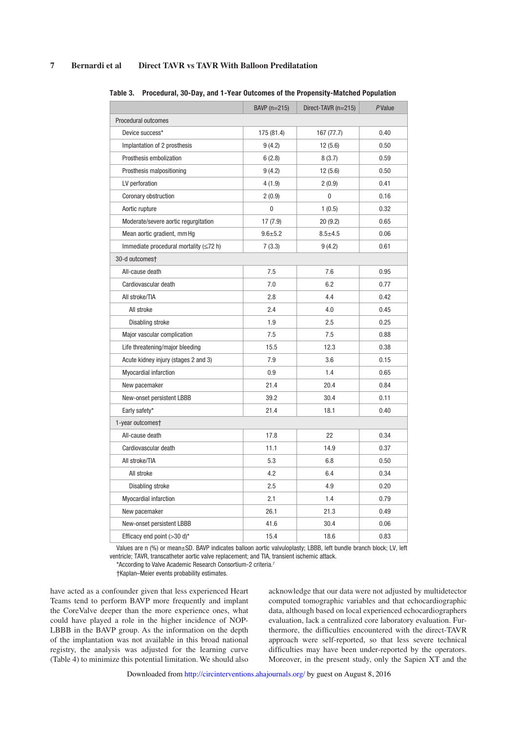|                                              | BAVP (n=215) | Direct-TAVR (n=215) | PValue |
|----------------------------------------------|--------------|---------------------|--------|
| Procedural outcomes                          |              |                     |        |
| Device success*                              | 175 (81.4)   | 167 (77.7)          | 0.40   |
| Implantation of 2 prosthesis                 | 9(4.2)       | 12(5.6)             | 0.50   |
| Prosthesis embolization                      | 6(2.8)       | 8(3.7)              | 0.59   |
| Prosthesis malpositioning                    | 9(4.2)       | 12(5.6)             | 0.50   |
| LV perforation                               | 4(1.9)       | 2(0.9)              | 0.41   |
| Coronary obstruction                         | 2(0.9)       | 0                   | 0.16   |
| Aortic rupture                               | $\pmb{0}$    | 1(0.5)              | 0.32   |
| Moderate/severe aortic regurgitation         | 17(7.9)      | 20 (9.2)            | 0.65   |
| Mean aortic gradient, mm Hg                  | $9.6 + 5.2$  | $8.5 + 4.5$         | 0.06   |
| Immediate procedural mortality $(\leq 72 h)$ | 7(3.3)       | 9(4.2)              | 0.61   |
| 30-d outcomest                               |              |                     |        |
| All-cause death                              | 7.5          | 7.6                 | 0.95   |
| Cardiovascular death                         | 7.0          | 6.2                 | 0.77   |
| All stroke/TIA                               | 2.8          | 4.4                 | 0.42   |
| All stroke                                   | 2.4          | 4.0                 | 0.45   |
| Disabling stroke                             | 1.9          | 2.5                 | 0.25   |
| Major vascular complication                  | 7.5          | 7.5                 | 0.88   |
| Life threatening/major bleeding              | 15.5         | 12.3                | 0.38   |
| Acute kidney injury (stages 2 and 3)         | 7.9          | 3.6                 | 0.15   |
| Myocardial infarction                        | 0.9          | 1.4                 | 0.65   |
| New pacemaker                                | 21.4         | 20.4                | 0.84   |
| New-onset persistent LBBB                    | 39.2         | 30.4                | 0.11   |
| Early safety*                                | 21.4         | 18.1                | 0.40   |
| 1-year outcomest                             |              |                     |        |
| All-cause death                              | 17.8         | 22                  | 0.34   |
| Cardiovascular death                         | 11.1         | 14.9                | 0.37   |
| All stroke/TIA                               | 5.3          | 6.8                 | 0.50   |
| All stroke                                   | 4.2          | 6.4                 | 0.34   |
| Disabling stroke                             | 2.5          | 4.9                 | 0.20   |
| <b>Myocardial infarction</b>                 | 2.1          | 1.4                 | 0.79   |
| New pacemaker                                | 26.1         | 21.3                | 0.49   |
| New-onset persistent LBBB                    | 41.6         | 30.4                | 0.06   |
| Efficacy end point $(>30 d)^*$               | 15.4         | 18.6                | 0.83   |

**Table 3. Procedural, 30-Day, and 1-Year Outcomes of the Propensity-Matched Population**

Values are n (%) or mean±SD. BAVP indicates balloon aortic valvuloplasty; LBBB, left bundle branch block; LV, left ventricle; TAVR, transcatheter aortic valve replacement; and TIA, transient ischemic attack.

\*According to Valve Academic Research Consortium-2 criteria.7

†Kaplan–Meier events probability estimates.

have acted as a confounder given that less experienced Heart Teams tend to perform BAVP more frequently and implant the CoreValve deeper than the more experience ones, what could have played a role in the higher incidence of NOP-LBBB in the BAVP group. As the information on the depth of the implantation was not available in this broad national registry, the analysis was adjusted for the learning curve (Table 4) to minimize this potential limitation. We should also acknowledge that our data were not adjusted by multidetector computed tomographic variables and that echocardiographic data, although based on local experienced echocardiographers evaluation, lack a centralized core laboratory evaluation. Furthermore, the difficulties encountered with the direct-TAVR approach were self-reported, so that less severe technical difficulties may have been under-reported by the operators. Moreover, in the present study, only the Sapien XT and the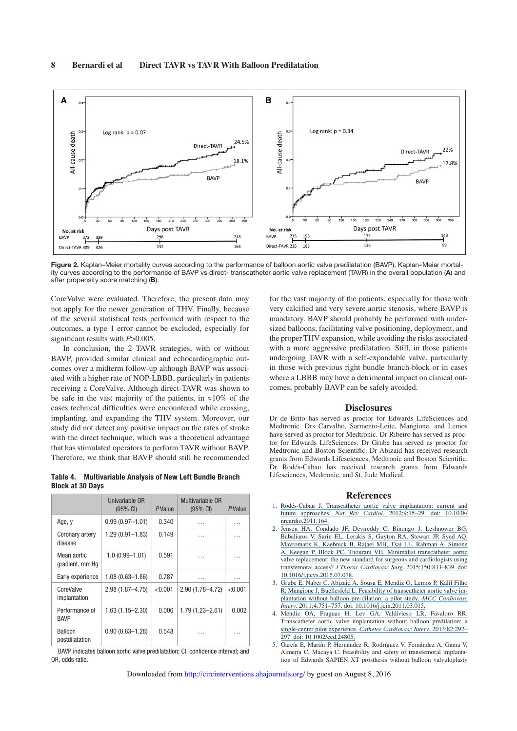

**Figure 2.** Kaplan–Meier mortality curves according to the performance of balloon aortic valve predilatation (BAVP). Kaplan–Meier mortality curves according to the performance of BAVP vs direct- transcatheter aortic valve replacement (TAVR) in the overall population (**A**) and after propensity score matching (**B**).

CoreValve were evaluated. Therefore, the present data may not apply for the newer generation of THV. Finally, because of the several statistical tests performed with respect to the outcomes, a type 1 error cannot be excluded, especially for significant results with  $P > 0.005$ .

In conclusion, the 2 TAVR strategies, with or without BAVP, provided similar clinical and echocardiographic outcomes over a midterm follow-up although BAVP was associated with a higher rate of NOP-LBBB, particularly in patients receiving a CoreValve. Although direct-TAVR was shown to be safe in the vast majority of the patients, in ≈10% of the cases technical difficulties were encountered while crossing, implanting, and expanding the THV system. Moreover, our study did not detect any positive impact on the rates of stroke with the direct technique, which was a theoretical advantage that has stimulated operators to perform TAVR without BAVP. Therefore, we think that BAVP should still be recommended

**Table 4. Multivariable Analysis of New Left Bundle Branch Block at 30 Days**

|                                | Univariable OR<br>$(95% \text{ Cl})$ | PValue  | Multivariable OR<br>$(95% \text{ Cl})$ | PValue  |
|--------------------------------|--------------------------------------|---------|----------------------------------------|---------|
| Age, y                         | $0.99(0.97 - 1.01)$                  | 0.340   | .                                      | .       |
| Coronary artery<br>disease     | $1.29(0.91 - 1.83)$                  | 0.149   | .                                      | .       |
| Mean aortic<br>gradient, mm Hq | $1.0(0.99 - 1.01)$                   | 0.591   | .                                      | .       |
| Early experience               | $1.08(0.63 - 1.86)$                  | 0.787   | .                                      | .       |
| CoreValve<br>implantation      | $2.98(1.87 - 4.75)$                  | < 0.001 | 2.90 (1.78-4.72)                       | < 0.001 |
| Performance of<br><b>BAVP</b>  | $1.63(1.15 - 2.30)$                  | 0.006   | $1.79(1.23 - 2.61)$                    | 0.002   |
| Balloon<br>postdilatation      | $0.90(0.63 - 1.28)$                  | 0.548   | .                                      | .       |

BAVP indicates balloon aortic valve predilatation; CI, confidence interval; and OR, odds ratio.

for the vast majority of the patients, especially for those with very calcified and very severe aortic stenosis, where BAVP is mandatory. BAVP should probably be performed with undersized balloons, facilitating valve positioning, deployment, and the proper THV expansion, while avoiding the risks associated with a more aggressive predilatation. Still, in those patients undergoing TAVR with a self-expandable valve, particularly in those with previous right bundle branch-block or in cases where a LBBB may have a detrimental impact on clinical outcomes, probably BAVP can be safely avoided.

#### **Disclosures**

Dr de Brito has served as proctor for Edwards LifeSciences and Medtronic. Drs Carvalho, Sarmento-Leite, Mangione, and Lemos have served as proctor for Medtronic. Dr Ribeiro has served as proctor for Edwards LifeSciences. Dr Grube has served as proctor for Medtronic and Boston Scientific. Dr Abizaid has received research grants from Edwards Lifesciences, Medtronic and Boston Scientific. Dr Rodés-Cabau has received research grants from Edwards Lifesciences, Medtronic, and St. Jude Medical.

#### **References**

- 1. Rodés-Cabau J. Transcatheter aortic valve implantation: current and future approaches. *Nat Rev Cardiol*. 2012;9:15–29. doi: 10.1038/ nrcardio.2011.164.
- 2. Jensen HA, Condado JF, Devireddy C, Binongo J, Leshnower BG, Babaliaros V, Sarin EL, Lerakis S, Guyton RA, Stewart JP, Syed AQ, Mavromatis K, Kaebnick B, Rajaei MH, Tsai LL, Rahman A, Simone A, Keegan P, Block PC, Thourani VH. Minimalist transcatheter aortic valve replacement: the new standard for surgeons and cardiologists using transfemoral access? *J Thorac Cardiovasc Surg*. 2015;150:833–839. doi: 10.1016/j.jtcvs.2015.07.078.
- 3. Grube E, Naber C, Abizaid A, Sousa E, Mendiz O, Lemos P, Kalil Filho R, Mangione J, Buellesfeld L. Feasibility of transcatheter aortic valve implantation without balloon pre-dilation: a pilot study. *JACC Cardiovasc Interv*. 2011;4:751–757. doi: 10.1016/j.jcin.2011.03.015.
- 4. Mendiz OA, Fraguas H, Lev GA, Valdivieso LR, Favaloro RR. Transcatheter aortic valve implantation without balloon predilation: a single-center pilot experience. *Catheter Cardiovasc Interv*. 2013;82:292– 297. doi: 10.1002/ccd.24805.
- 5. García E, Martín P, Hernández R, Rodríguez V, Fernández A, Gama V, Almería C, Macaya C. Feasibility and safety of transfemoral implantation of Edwards SAPIEN XT prosthesis without balloon valvuloplasty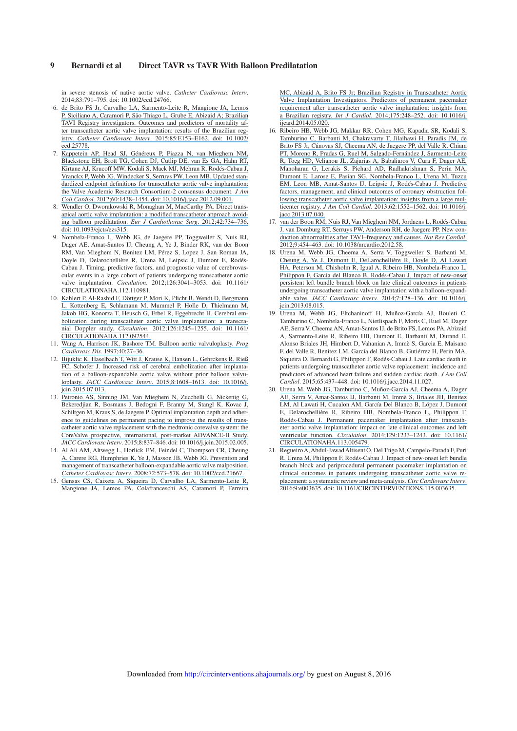in severe stenosis of native aortic valve. *Catheter Cardiovasc Interv*. 2014;83:791–795. doi: 10.1002/ccd.24766.

- 6. de Brito FS Jr, Carvalho LA, Sarmento-Leite R, Mangione JA, Lemos P, Siciliano A, Caramori P, São Thiago L, Grube E, Abizaid A; Brazilian TAVI Registry investigators. Outcomes and predictors of mortality after transcatheter aortic valve implantation: results of the Brazilian registry. *Catheter Cardiovasc Interv*. 2015;85:E153–E162. doi: 10.1002/ ccd.25778.
- 7. Kappetein AP, Head SJ, Généreux P, Piazza N, van Mieghem NM, Blackstone EH, Brott TG, Cohen DJ, Cutlip DE, van Es GA, Hahn RT, Kirtane AJ, Krucoff MW, Kodali S, Mack MJ, Mehran R, Rodés-Cabau J, Vranckx P, Webb JG, Windecker S, Serruys PW, Leon MB. Updated standardized endpoint definitions for transcatheter aortic valve implantation: the Valve Academic Research Consortium-2 consensus document. *J Am Coll Cardiol*. 2012;60:1438–1454. doi: 10.1016/j.jacc.2012.09.001.
- 8. Wendler O, Dworakowski R, Monaghan M, MacCarthy PA. Direct transapical aortic valve implantation: a modified transcatheter approach avoiding balloon predilatation. *Eur J Cardiothorac Surg*. 2012;42:734–736. doi: 10.1093/ejcts/ezs315.
- 9. Nombela-Franco L, Webb JG, de Jaegere PP, Toggweiler S, Nuis RJ, Dager AE, Amat-Santos IJ, Cheung A, Ye J, Binder RK, van der Boon RM, Van Mieghem N, Benitez LM, Pérez S, Lopez J, San Roman JA, Doyle D, Delarochellière R, Urena M, Leipsic J, Dumont E, Rodés-Cabau J. Timing, predictive factors, and prognostic value of cerebrovascular events in a large cohort of patients undergoing transcatheter aortic valve implantation. *Circulation*. 2012;126:3041–3053. doi: 10.1161/ CIRCULATIONAHA.112.110981.
- 10. Kahlert P, Al-Rashid F, Döttger P, Mori K, Plicht B, Wendt D, Bergmann L, Kottenberg E, Schlamann M, Mummel P, Holle D, Thielmann M, Jakob HG, Konorza T, Heusch G, Erbel R, Eggebrecht H. Cerebral embolization during transcatheter aortic valve implantation: a transcranial Doppler study. *Circulation*. 2012;126:1245–1255. doi: 10.1161/ CIRCULATIONAHA.112.092544.
- 11. Wang A, Harrison JK, Bashore TM. Balloon aortic valvuloplasty. *Prog Cardiovasc Dis*. 1997;40:27–36.
- 12. Bijuklic K, Haselbach T, Witt J, Krause K, Hansen L, Gehrckens R, Rieß FC, Schofer J. Increased risk of cerebral embolization after implantation of a balloon-expandable aortic valve without prior balloon valvuloplasty. *JACC Cardiovasc Interv*. 2015;8:1608–1613. doi: 10.1016/j. jcin.2015.07.013.
- 13. Petronio AS, Sinning JM, Van Mieghem N, Zucchelli G, Nickenig G, Bekeredjian R, Bosmans J, Bedogni F, Branny M, Stangl K, Kovac J, Schiltgen M, Kraus S, de Jaegere P. Optimal implantation depth and adherence to guidelines on permanent pacing to improve the results of transcatheter aortic valve replacement with the medtronic corevalve system: the CoreValve prospective, international, post-market ADVANCE-II Study. *JACC Cardiovasc Interv*. 2015;8:837–846. doi: 10.1016/j.jcin.2015.02.005.
- 14. Al Ali AM, Altwegg L, Horlick EM, Feindel C, Thompson CR, Cheung A, Carere RG, Humphries K, Ye J, Masson JB, Webb JG. Prevention and management of transcatheter balloon-expandable aortic valve malposition. *Catheter Cardiovasc Interv*. 2008;72:573–578. doi: 10.1002/ccd.21667.
- 15. Gensas CS, Caixeta A, Siqueira D, Carvalho LA, Sarmento-Leite R, Mangione JA, Lemos PA, Colafranceschi AS, Caramori P, Ferreira

MC, Abizaid A, Brito FS Jr; Brazilian Registry in Transcatheter Aortic Valve Implantation Investigators. Predictors of permanent pacemaker requirement after transcatheter aortic valve implantation: insights from a Brazilian registry. *Int J Cardiol*. 2014;175:248–252. doi: 10.1016/j. ijcard. $2014.05.020$ 

- 16. Ribeiro HB, Webb JG, Makkar RR, Cohen MG, Kapadia SR, Kodali S, Tamburino C, Barbanti M, Chakravarty T, Jilaihawi H, Paradis JM, de Brito FS Jr, Cánovas SJ, Cheema AN, de Jaegere PP, del Valle R, Chiam PT, Moreno R, Pradas G, Ruel M, Salgado-Fernández J, Sarmento-Leite R, Toeg HD, Velianou JL, Zajarias A, Babaliaros V, Cura F, Dager AE, Manoharan G, Lerakis S, Pichard AD, Radhakrishnan S, Perin MA, Dumont E, Larose E, Pasian SG, Nombela-Franco L, Urena M, Tuzcu EM, Leon MB, Amat-Santos IJ, Leipsic J, Rodés-Cabau J. Predictive factors, management, and clinical outcomes of coronary obstruction following transcatheter aortic valve implantation: insights from a large multicenter registry. *J Am Coll Cardiol*. 2013;62:1552–1562. doi: 10.1016/j. jacc.2013.07.040.
- 17. van der Boon RM, Nuis RJ, Van Mieghem NM, Jordaens L, Rodés-Cabau J, van Domburg RT, Serruys PW, Anderson RH, de Jaegere PP. New conduction abnormalities after TAVI–frequency and causes. *Nat Rev Cardiol*. 2012;9:454–463. doi: 10.1038/nrcardio.2012.58.
- 18. Urena M, Webb JG, Cheema A, Serra V, Toggweiler S, Barbanti M, Cheung A, Ye J, Dumont E, DeLarochellière R, Doyle D, Al Lawati HA, Peterson M, Chisholm R, Igual A, Ribeiro HB, Nombela-Franco L, Philippon F, Garcia del Blanco B, Rodés-Cabau J. Impact of new-onset persistent left bundle branch block on late clinical outcomes in patients undergoing transcatheter aortic valve implantation with a balloon-expandable valve. *JACC Cardiovasc Interv*. 2014;7:128–136. doi: 10.1016/j. icin.2013.08.015
- 19. Urena M, Webb JG, Eltchaninoff H, Muñoz-García AJ, Bouleti C, Tamburino C, Nombela-Franco L, Nietlispach F, Moris C, Ruel M, Dager AE, Serra V, Cheema AN, Amat-Santos IJ, de Brito FS, Lemos PA, Abizaid A, Sarmento-Leite R, Ribeiro HB, Dumont E, Barbanti M, Durand E, Alonso Briales JH, Himbert D, Vahanian A, Immè S, Garcia E, Maisano F, del Valle R, Benitez LM, García del Blanco B, Gutiérrez H, Perin MA, Siqueira D, Bernardi G, Philippon F, Rodés-Cabau J. Late cardiac death in patients undergoing transcatheter aortic valve replacement: incidence and predictors of advanced heart failure and sudden cardiac death. *J Am Coll Cardiol*. 2015;65:437–448. doi: 10.1016/j.jacc.2014.11.027.
- 20. Urena M, Webb JG, Tamburino C, Muñoz-García AJ, Cheema A, Dager AE, Serra V, Amat-Santos IJ, Barbanti M, Immè S, Briales JH, Benitez LM, Al Lawati H, Cucalon AM, García Del Blanco B, López J, Dumont E, Delarochellière R, Ribeiro HB, Nombela-Franco L, Philippon F, Rodés-Cabau J. Permanent pacemaker implantation after transcatheter aortic valve implantation: impact on late clinical outcomes and left ventricular function. *Circulation*. 2014;129:1233–1243. doi: 10.1161/ CIRCULATIONAHA.113.005479.
- 21. Regueiro A, Abdul-Jawad Altisent O, Del Trigo M, Campelo-Parada F, Puri R, Urena M, Philippon F, Rodés-Cabau J. Impact of new-onset left bundle branch block and periprocedural permanent pacemaker implantation on clinical outcomes in patients undergoing transcatheter aortic valve replacement: a systematic review and meta-analysis. *Circ Cardiovasc Interv*. 2016;9:e003635. doi: 10.1161/CIRCINTERVENTIONS.115.003635.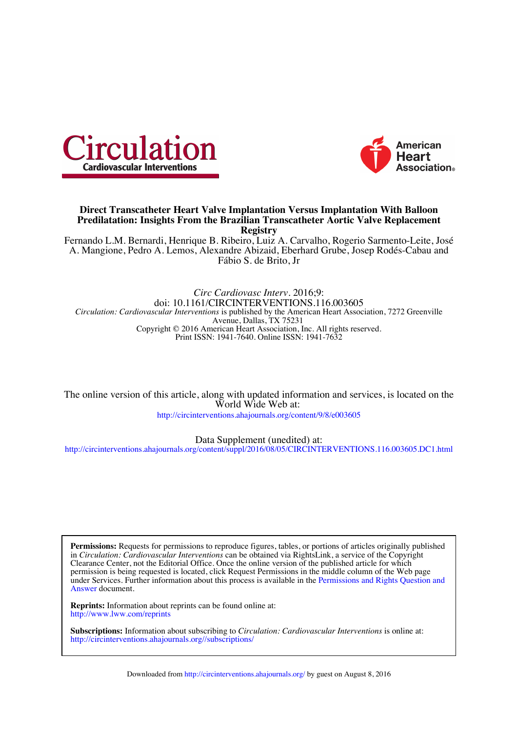



## **Registry Predilatation: Insights From the Brazilian Transcatheter Aortic Valve Replacement Direct Transcatheter Heart Valve Implantation Versus Implantation With Balloon**

Fábio S. de Brito, Jr A. Mangione, Pedro A. Lemos, Alexandre Abizaid, Eberhard Grube, Josep Rodés-Cabau and Fernando L.M. Bernardi, Henrique B. Ribeiro, Luiz A. Carvalho, Rogerio Sarmento-Leite, José

## Print ISSN: 1941-7640. Online ISSN: 1941-7632 Copyright © 2016 American Heart Association, Inc. All rights reserved. Avenue, Dallas, TX 75231 *Circulation: Cardiovascular Interventions* is published by the American Heart Association, 7272 Greenville doi: 10.1161/CIRCINTERVENTIONS.116.003605 *Circ Cardiovasc Interv.* 2016;9:

World Wide Web at: The online version of this article, along with updated information and services, is located on the

http://circinterventions.ahajournals.org/content/9/8/e003605

Data Supplement (unedited) at:

http://circinterventions.ahajournals.org/content/suppl/2016/08/05/CIRCINTERVENTIONS.116.003605.DC1.html

Answer document. under Services. Further information about this process is available in the Permissions and Rights Question and permission is being requested is located, click Request Permissions in the middle column of the Web page Clearance Center, not the Editorial Office. Once the online version of the published article for which in *Circulation: Cardiovascular Interventions* can be obtained via RightsLink, a service of the Copyright **Permissions:** Requests for permissions to reproduce figures, tables, or portions of articles originally published

http://www.lww.com/reprints **Reprints:** Information about reprints can be found online at:

http://circinterventions.ahajournals.org//subscriptions/ **Subscriptions:** Information about subscribing to *Circulation: Cardiovascular Interventions* is online at: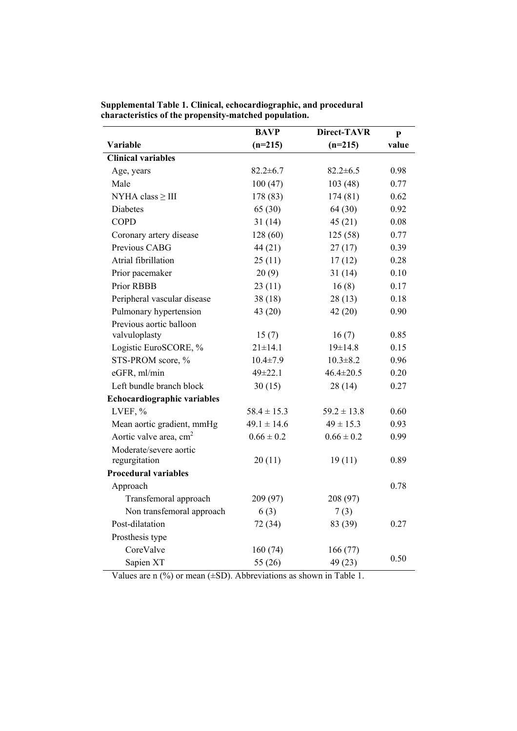|                                                                                       | <b>BAVP</b>     | <b>Direct-TAVR</b> | P     |
|---------------------------------------------------------------------------------------|-----------------|--------------------|-------|
| Variable                                                                              | $(n=215)$       | $(n=215)$          | value |
| <b>Clinical variables</b>                                                             |                 |                    |       |
| Age, years                                                                            | $82.2 \pm 6.7$  | $82.2 \pm 6.5$     | 0.98  |
| Male                                                                                  | 100(47)         | 103(48)            | 0.77  |
| NYHA class $\geq$ III                                                                 | 178 (83)        | 174(81)            | 0.62  |
| <b>Diabetes</b>                                                                       | 65(30)          | 64(30)             | 0.92  |
| <b>COPD</b>                                                                           | 31(14)          | 45(21)             | 0.08  |
| Coronary artery disease                                                               | 128(60)         | 125(58)            | 0.77  |
| Previous CABG                                                                         | 44 (21)         | 27(17)             | 0.39  |
| Atrial fibrillation                                                                   | 25(11)          | 17(12)             | 0.28  |
| Prior pacemaker                                                                       | 20(9)           | 31(14)             | 0.10  |
| <b>Prior RBBB</b>                                                                     | 23(11)          | 16(8)              | 0.17  |
| Peripheral vascular disease                                                           | 38(18)          | 28(13)             | 0.18  |
| Pulmonary hypertension                                                                | 43 (20)         | 42(20)             | 0.90  |
| Previous aortic balloon                                                               |                 |                    |       |
| valvuloplasty                                                                         | 15(7)           | 16(7)              | 0.85  |
| Logistic EuroSCORE, %                                                                 | $21 \pm 14.1$   | $19 \pm 14.8$      | 0.15  |
| STS-PROM score, %                                                                     | $10.4 \pm 7.9$  | $10.3 \pm 8.2$     | 0.96  |
| eGFR, ml/min                                                                          | $49 \pm 22.1$   | $46.4 \pm 20.5$    | 0.20  |
| Left bundle branch block                                                              | 30(15)          | 28(14)             | 0.27  |
| Echocardiographic variables                                                           |                 |                    |       |
| LVEF, %                                                                               | $58.4 \pm 15.3$ | $59.2 \pm 13.8$    | 0.60  |
| Mean aortic gradient, mmHg                                                            | $49.1 \pm 14.6$ | $49 \pm 15.3$      | 0.93  |
| Aortic valve area, cm <sup>2</sup>                                                    | $0.66 \pm 0.2$  | $0.66 \pm 0.2$     | 0.99  |
| Moderate/severe aortic                                                                |                 |                    |       |
| regurgitation                                                                         | 20(11)          | 19(11)             | 0.89  |
| <b>Procedural variables</b>                                                           |                 |                    |       |
| Approach                                                                              |                 |                    | 0.78  |
| Transfemoral approach                                                                 | 209 (97)        | 208 (97)           |       |
| Non transfemoral approach                                                             | 6(3)            | 7(3)               |       |
| Post-dilatation                                                                       | 72 (34)         | 83 (39)            | 0.27  |
| Prosthesis type                                                                       |                 |                    |       |
| CoreValve                                                                             | 160(74)         | 166(77)            | 0.50  |
| Sapien XT<br>Velues are $p(0/2)$ or mean $(18D)$ . Abbreviations as shown in Table 1. | 55 (26)         | 49 (23)            |       |

**Supplemental Table 1. Clinical, echocardiographic, and procedural characteristics of the propensity-matched population.** 

Values are n  $(^{\circ}\!\!\delta)$  or mean ( $\pm$ SD). Abbreviations as shown in Table 1.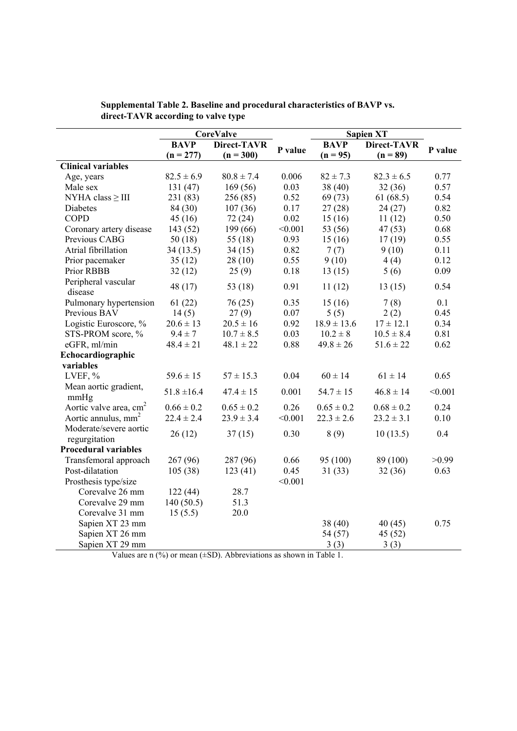|                                         | <b>CoreValve</b> |                    |         | <b>Sapien XT</b> |                    |         |
|-----------------------------------------|------------------|--------------------|---------|------------------|--------------------|---------|
|                                         | <b>BAVP</b>      | <b>Direct-TAVR</b> | P value | <b>BAVP</b>      | <b>Direct-TAVR</b> | P value |
|                                         | $(n = 277)$      | $(n = 300)$        |         | $(n = 95)$       | $(n = 89)$         |         |
| <b>Clinical variables</b>               |                  |                    |         |                  |                    |         |
| Age, years                              | $82.5 \pm 6.9$   | $80.8 \pm 7.4$     | 0.006   | $82 \pm 7.3$     | $82.3 \pm 6.5$     | 0.77    |
| Male sex                                | 131(47)          | 169(56)            | 0.03    | 38(40)           | 32(36)             | 0.57    |
| NYHA class $\geq$ III                   | 231 (83)         | 256 (85)           | 0.52    | 69(73)           | 61(68.5)           | 0.54    |
| Diabetes                                | 84 (30)          | 107(36)            | 0.17    | 27(28)           | 24(27)             | 0.82    |
| <b>COPD</b>                             | 45(16)           | 72(24)             | 0.02    | 15(16)           | 11(12)             | 0.50    |
| Coronary artery disease                 | 143 (52)         | 199(66)            | < 0.001 | 53 (56)          | 47(53)             | 0.68    |
| Previous CABG                           | 50(18)           | 55 $(18)$          | 0.93    | 15(16)           | 17(19)             | 0.55    |
| Atrial fibrillation                     | 34(13.5)         | 34(15)             | 0.82    | 7(7)             | 9(10)              | 0.11    |
| Prior pacemaker                         | 35(12)           | 28(10)             | 0.55    | 9(10)            | 4(4)               | 0.12    |
| Prior RBBB                              | 32(12)           | 25(9)              | 0.18    | 13(15)           | 5(6)               | 0.09    |
| Peripheral vascular<br>disease          | 48 (17)          | 53 $(18)$          | 0.91    | 11(12)           | 13(15)             | 0.54    |
| Pulmonary hypertension                  | 61(22)           | 76(25)             | 0.35    | 15(16)           | 7(8)               | 0.1     |
| Previous BAV                            | 14(5)            | 27(9)              | 0.07    | 5(5)             | 2(2)               | 0.45    |
| Logistic Euroscore, %                   | $20.6 \pm 13$    | $20.5 \pm 16$      | 0.92    | $18.9 \pm 13.6$  | $17 \pm 12.1$      | 0.34    |
| STS-PROM score, %                       | $9.4 \pm 7$      | $10.7 \pm 8.5$     | 0.03    | $10.2 \pm 8$     | $10.5 \pm 8.4$     | 0.81    |
| eGFR, ml/min                            | $48.4 \pm 21$    | $48.1 \pm 22$      | 0.88    | $49.8 \pm 26$    | $51.6 \pm 22$      | 0.62    |
| Echocardiographic                       |                  |                    |         |                  |                    |         |
| variables                               |                  |                    |         |                  |                    |         |
| LVEF, %                                 | $59.6 \pm 15$    | $57 \pm 15.3$      | 0.04    | $60 \pm 14$      | $61 \pm 14$        | 0.65    |
| Mean aortic gradient,<br>mmHg           | $51.8 \pm 16.4$  | $47.4 \pm 15$      | 0.001   | $54.7 \pm 15$    | $46.8 \pm 14$      | < 0.001 |
| Aortic valve area, cm <sup>2</sup>      | $0.66 \pm 0.2$   | $0.65 \pm 0.2$     | 0.26    | $0.65 \pm 0.2$   | $0.68 \pm 0.2$     | 0.24    |
| Aortic annulus, mm <sup>2</sup>         | $22.4 \pm 2.4$   | $23.9 \pm 3.4$     | < 0.001 | $22.3 \pm 2.6$   | $23.2 \pm 3.1$     | 0.10    |
| Moderate/severe aortic<br>regurgitation | 26(12)           | 37(15)             | 0.30    | 8(9)             | 10(13.5)           | 0.4     |
| <b>Procedural variables</b>             |                  |                    |         |                  |                    |         |
| Transfemoral approach                   | 267 (96)         | 287 (96)           | 0.66    | 95 (100)         | 89 (100)           | >0.99   |
| Post-dilatation                         | 105(38)          | 123(41)            | 0.45    | 31(33)           | 32(36)             | 0.63    |
| Prosthesis type/size                    |                  |                    | < 0.001 |                  |                    |         |
| Corevalve 26 mm                         | 122(44)          | 28.7               |         |                  |                    |         |
| Corevalve 29 mm                         | 140(50.5)        | 51.3               |         |                  |                    |         |
| Corevalve 31 mm                         | 15(5.5)          | 20.0               |         |                  |                    |         |
| Sapien XT 23 mm                         |                  |                    |         | 38(40)           | 40(45)             | 0.75    |
| Sapien XT 26 mm                         |                  |                    |         | 54 (57)          | 45 (52)            |         |
| Sapien XT 29 mm                         |                  |                    |         | 3(3)             | 3(3)               |         |

**Supplemental Table 2. Baseline and procedural characteristics of BAVP vs. direct-TAVR according to valve type** 

Values are n (%) or mean (±SD). Abbreviations as shown in Table 1.